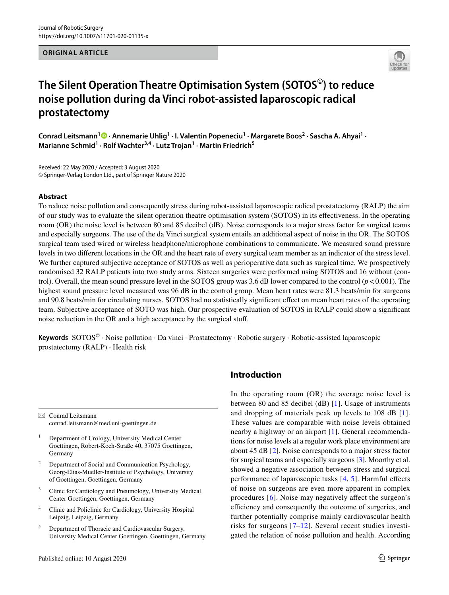**ORIGINAL ARTICLE**



# **The Silent Operation Theatre Optimisation System (SOTOS©) to reduce noise pollution during da Vinci robot‑assisted laparoscopic radical prostatectomy**

ConradLeitsmann<sup>1</sup><sup>®</sup> · Annemarie Uhlig<sup>1</sup> · I. Valentin Popeneciu<sup>1</sup> · Margarete Boos<sup>2</sup> · Sascha A. Ahyai<sup>1</sup> · Marianne Schmid<sup>1</sup> · Rolf Wachter<sup>3,4</sup> · Lutz Trojan<sup>1</sup> · Martin Friedrich<sup>5</sup>

Received: 22 May 2020 / Accepted: 3 August 2020 © Springer-Verlag London Ltd., part of Springer Nature 2020

#### **Abstract**

To reduce noise pollution and consequently stress during robot-assisted laparoscopic radical prostatectomy (RALP) the aim of our study was to evaluate the silent operation theatre optimisation system (SOTOS) in its efectiveness. In the operating room (OR) the noise level is between 80 and 85 decibel (dB). Noise corresponds to a major stress factor for surgical teams and especially surgeons. The use of the da Vinci surgical system entails an additional aspect of noise in the OR. The SOTOS surgical team used wired or wireless headphone/microphone combinations to communicate. We measured sound pressure levels in two diferent locations in the OR and the heart rate of every surgical team member as an indicator of the stress level. We further captured subjective acceptance of SOTOS as well as perioperative data such as surgical time. We prospectively randomised 32 RALP patients into two study arms. Sixteen surgeries were performed using SOTOS and 16 without (control). Overall, the mean sound pressure level in the SOTOS group was 3.6 dB lower compared to the control  $(p<0.001)$ . The highest sound pressure level measured was 96 dB in the control group. Mean heart rates were 81.3 beats/min for surgeons and 90.8 beats/min for circulating nurses. SOTOS had no statistically signifcant efect on mean heart rates of the operating team. Subjective acceptance of SOTO was high. Our prospective evaluation of SOTOS in RALP could show a signifcant noise reduction in the OR and a high acceptance by the surgical stuf.

Keywords SOTOS<sup>©</sup> · Noise pollution · Da vinci · Prostatectomy · Robotic surgery · Robotic-assisted laparoscopic prostatectomy (RALP) · Health risk

 $\boxtimes$  Conrad Leitsmann conrad.leitsmann@med.uni-goettingen.de

- <sup>1</sup> Department of Urology, University Medical Center Goettingen, Robert-Koch-Straße 40, 37075 Goettingen, Germany
- Department of Social and Communication Psychology, Georg-Elias-Mueller-Institute of Psychology, University of Goettingen, Goettingen, Germany
- <sup>3</sup> Clinic for Cardiology and Pneumology, University Medical Center Goettingen, Goettingen, Germany
- <sup>4</sup> Clinic and Policlinic for Cardiology, University Hospital Leipzig, Leipzig, Germany
- <sup>5</sup> Department of Thoracic and Cardiovascular Surgery, University Medical Center Goettingen, Goettingen, Germany

## **Introduction**

In the operating room (OR) the average noise level is between 80 and 85 decibel (dB) [\[1](#page-7-0)]. Usage of instruments and dropping of materials peak up levels to 108 dB [[1](#page-7-0)]. These values are comparable with noise levels obtained nearby a highway or an airport [\[1](#page-7-0)]. General recommendations for noise levels at a regular work place environment are about 45 dB [\[2](#page-7-1)]. Noise corresponds to a major stress factor for surgical teams and especially surgeons [\[3\]](#page-7-2). Moorthy et al. showed a negative association between stress and surgical performance of laparoscopic tasks  $[4, 5]$  $[4, 5]$  $[4, 5]$ . Harmful effects of noise on surgeons are even more apparent in complex procedures [[6\]](#page-7-5). Noise may negatively afect the surgeon's efficiency and consequently the outcome of surgeries, and further potentially comprise mainly cardiovascular health risks for surgeons [[7](#page-7-6)–[12\]](#page-8-0). Several recent studies investigated the relation of noise pollution and health. According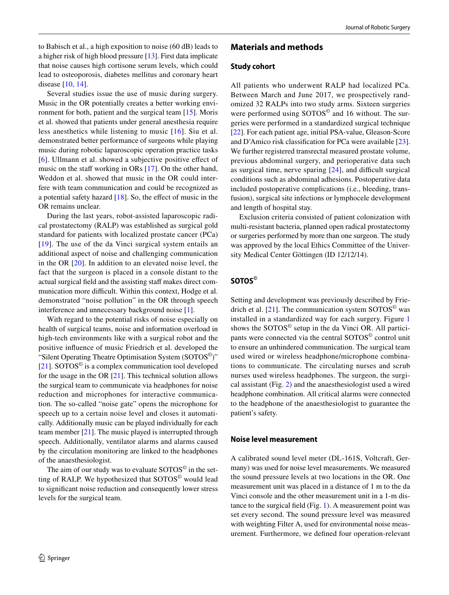to Babisch et al., a high exposition to noise (60 dB) leads to a higher risk of high blood pressure [[13](#page-8-1)]. First data implicate that noise causes high cortisone serum levels, which could lead to osteoporosis, diabetes mellitus and coronary heart disease [\[10](#page-7-7), [14](#page-8-2)].

Several studies issue the use of music during surgery. Music in the OR potentially creates a better working environment for both, patient and the surgical team [\[15](#page-8-3)]. Moris et al. showed that patients under general anesthesia require less anesthetics while listening to music [\[16\]](#page-8-4). Siu et al. demonstrated better performance of surgeons while playing music during robotic laparoscopic operation practice tasks [[6\]](#page-7-5). Ullmann et al. showed a subjective positive efect of music on the staff working in ORs  $[17]$  $[17]$ . On the other hand, Weddon et al. showed that music in the OR could interfere with team communication and could be recognized as a potential safety hazard  $[18]$  $[18]$ . So, the effect of music in the OR remains unclear.

During the last years, robot-assisted laparoscopic radical prostatectomy (RALP) was established as surgical gold standard for patients with localized prostate cancer (PCa) [[19\]](#page-8-7). The use of the da Vinci surgical system entails an additional aspect of noise and challenging communication in the OR [\[20\]](#page-8-8). In addition to an elevated noise level, the fact that the surgeon is placed in a console distant to the actual surgical field and the assisting staff makes direct communication more difficult. Within this context, Hodge et al. demonstrated "noise pollution" in the OR through speech interference and unnecessary background noise [[1\]](#page-7-0).

With regard to the potential risks of noise especially on health of surgical teams, noise and information overload in high-tech environments like with a surgical robot and the positive infuence of music Friedrich et al. developed the "Silent Operating Theatre Optimisation System (SOTOS<sup>©</sup>)" [\[21](#page-8-9)]. SOTOS<sup> $\circ$ </sup> is a complex communication tool developed for the usage in the OR [\[21](#page-8-9)]. This technical solution allows the surgical team to communicate via headphones for noise reduction and microphones for interactive communication. The so-called "noise gate" opens the microphone for speech up to a certain noise level and closes it automatically. Additionally music can be played individually for each team member  $[21]$  $[21]$ . The music played is interrupted through speech. Additionally, ventilator alarms and alarms caused by the circulation monitoring are linked to the headphones of the anaesthesiologist.

The aim of our study was to evaluate  $SOTOS<sup>°</sup>$  in the setting of RALP. We hypothesized that SOTOS<sup>®</sup> would lead to signifcant noise reduction and consequently lower stress levels for the surgical team.

#### **Materials and methods**

#### **Study cohort**

All patients who underwent RALP had localized PCa. Between March and June 2017, we prospectively randomized 32 RALPs into two study arms. Sixteen surgeries were performed using SOTOS<sup>©</sup> and 16 without. The surgeries were performed in a standardized surgical technique [\[22](#page-8-10)]. For each patient age, initial PSA-value, Gleason-Score and D'Amico risk classifcation for PCa were available [\[23](#page-8-11)]. We further registered transrectal measured prostate volume, previous abdominal surgery, and perioperative data such as surgical time, nerve sparing  $[24]$  $[24]$ , and difficult surgical conditions such as abdominal adhesions. Postoperative data included postoperative complications (i.e., bleeding, transfusion), surgical site infections or lymphocele development and length of hospital stay.

Exclusion criteria consisted of patient colonization with multi-resistant bacteria, planned open radical prostatectomy or surgeries performed by more than one surgeon. The study was approved by the local Ethics Committee of the University Medical Center Göttingen (ID 12/12/14).

# **SOTOS©**

Setting and development was previously described by Frie-drich et al. [[21\]](#page-8-9). The communication system  $SOTOS^{\circ}$  was installed in a standardized way for each surgery. Figure [1](#page-2-0) shows the SOTOS© setup in the da Vinci OR. All participants were connected via the central SOTOS<sup>©</sup> control unit to ensure an unhindered communication. The surgical team used wired or wireless headphone/microphone combinations to communicate. The circulating nurses and scrub nurses used wireless headphones. The surgeon, the surgical assistant (Fig. [2](#page-2-1)) and the anaesthesiologist used a wired headphone combination. All critical alarms were connected to the headphone of the anaesthesiologist to guarantee the patient's safety.

#### **Noise level measurement**

A calibrated sound level meter (DL-161S, Voltcraft, Germany) was used for noise level measurements. We measured the sound pressure levels at two locations in the OR. One measurement unit was placed in a distance of 1 m to the da Vinci console and the other measurement unit in a 1-m distance to the surgical feld (Fig. [1\)](#page-2-0). A measurement point was set every second. The sound pressure level was measured with weighting Filter A, used for environmental noise measurement. Furthermore, we defned four operation-relevant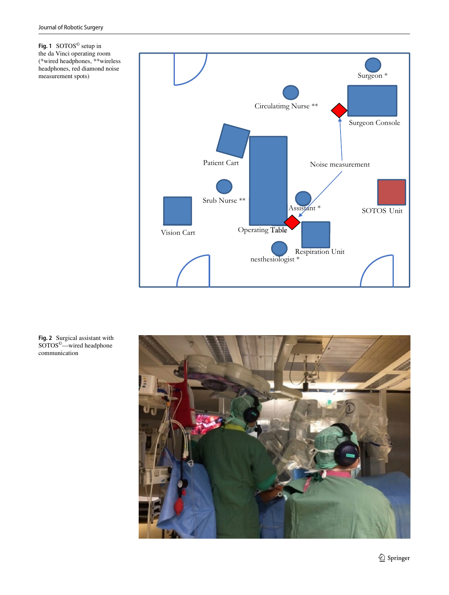<span id="page-2-0"></span>**Fig. 1** SOTOS© setup in the da Vinci operating room (\*wired headphones, \*\*wireless headphones, red diamond noise measurement spots)



<span id="page-2-1"></span>**Fig. 2** Surgical assistant with SOTOS©—wired headphone communication

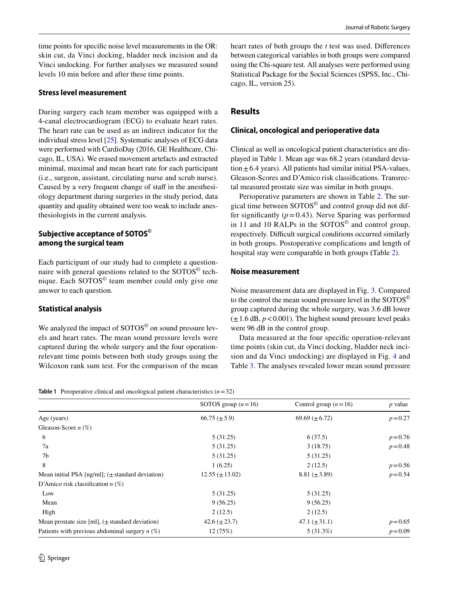time points for specifc noise level measurements in the OR: skin cut, da Vinci docking, bladder neck incision and da Vinci undocking. For further analyses we measured sound levels 10 min before and after these time points.

#### **Stress level measurement**

During surgery each team member was equipped with a 4-canal electrocardiogram (ECG) to evaluate heart rates. The heart rate can be used as an indirect indicator for the individual stress level [[25](#page-8-13)]. Systematic analyses of ECG data were performed with CardioDay (2016, GE Healthcare, Chicago, IL, USA). We erased movement artefacts and extracted minimal, maximal and mean heart rate for each participant (i.e., surgeon, assistant, circulating nurse and scrub nurse). Caused by a very frequent change of staff in the anesthesiology department during surgeries in the study period, data quantity and quality obtained were too weak to include anesthesiologists in the current analysis.

# **Subjective acceptance of SOTOS© among the surgical team**

Each participant of our study had to complete a questionnaire with general questions related to the SOTOS<sup>©</sup> technique. Each SOTOS© team member could only give one answer to each question.

## **Statistical analysis**

We analyzed the impact of SOTOS<sup>©</sup> on sound pressure levels and heart rates. The mean sound pressure levels were captured during the whole surgery and the four operationrelevant time points between both study groups using the Wilcoxon rank sum test. For the comparison of the mean heart rates of both groups the *t* test was used. Diferences between categorical variables in both groups were compared using the Chi-square test. All analyses were performed using Statistical Package for the Social Sciences (SPSS, Inc., Chicago, IL, version 25).

# **Results**

## **Clinical, oncological and perioperative data**

Clinical as well as oncological patient characteristics are displayed in Table [1](#page-3-0). Mean age was 68.2 years (standard deviation $\pm$ 6.4 years). All patients had similar initial PSA-values, Gleason-Scores and D'Amico risk classifcations. Transrectal measured prostate size was similar in both groups.

Perioperative parameters are shown in Table [2](#page-4-0). The surgical time between SOTOS© and control group did not differ significantly  $(p=0.43)$ . Nerve Sparing was performed in 11 and 10 RALPs in the SOTOS<sup>©</sup> and control group, respectively. Difficult surgical conditions occurred similarly in both groups. Postoperative complications and length of hospital stay were comparable in both groups **(**Table [2\)](#page-4-0).

#### **Noise measurement**

Noise measurement data are displayed in Fig. [3](#page-4-1). Compared to the control the mean sound pressure level in the SOTOS© group captured during the whole surgery, was 3.6 dB lower  $(\pm 1.6$  dB,  $p < 0.001$ ). The highest sound pressure level peaks were 96 dB in the control group.

Data measured at the four specifc operation-relevant time points (skin cut, da Vinci docking, bladder neck incision and da Vinci undocking) are displayed in Fig. [4](#page-4-2) and Table [3.](#page-5-0) The analyses revealed lower mean sound pressure

<span id="page-3-0"></span>**Table 1** Preoperative clinical and oncological patient characteristics  $(n=32)$ 

|                                                      | SOTOS group $(n=16)$  | Control group $(n=16)$ | $p$ value  |
|------------------------------------------------------|-----------------------|------------------------|------------|
| Age (years)                                          | $66.75 (\pm 5.9)$     | $69.69 \ (\pm 6.72)$   | $p = 0.27$ |
| Gleason-Score $n$ (%)                                |                       |                        |            |
| 6                                                    | 5(31.25)              | 6(37.5)                | $p = 0.76$ |
| 7a                                                   | 5(31.25)              | 3(18.75)               | $p = 0.48$ |
| 7b                                                   | 5(31.25)              | 5(31.25)               |            |
| 8                                                    | 1(6.25)               | 2(12.5)                | $p = 0.56$ |
| Mean initial PSA [ng/ml]; $(\pm$ standard deviation) | $12.55 \ (\pm 13.02)$ | 8.81 $(\pm 3.89)$      | $p = 0.54$ |
| D'Amico risk classification $n$ (%)                  |                       |                        |            |
| Low                                                  | 5(31.25)              | 5(31.25)               |            |
| Mean                                                 | 9(56.25)              | 9(56.25)               |            |
| High                                                 | 2(12.5)               | 2(12.5)                |            |
| Mean prostate size [ml], $(\pm$ standard deviation)  | 42.6 $(\pm 23.7)$     | 47.1 $(\pm 31.1)$      | $p = 0.65$ |
| Patients with previous abdominal surgery $n$ (%)     | 12(75%)               | $5(31.3\%)$            | $p = 0.09$ |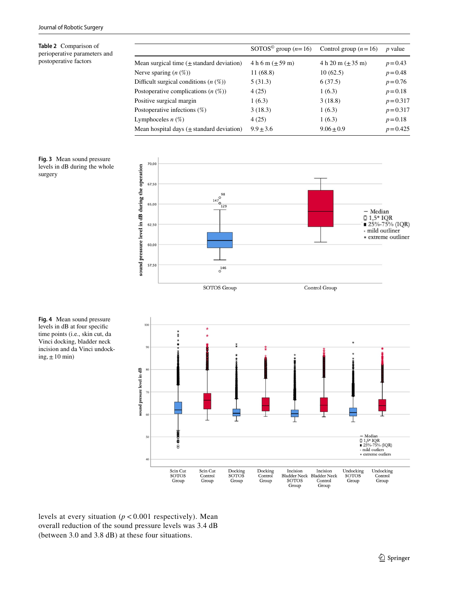<span id="page-4-0"></span>**Table 2** Comparison of perioperative parameters and postoperative factors

|                                               | SOTOS <sup>©</sup> group ( $n=16$ ) | Control group $(n=16)$ | <i>p</i> value |
|-----------------------------------------------|-------------------------------------|------------------------|----------------|
| Mean surgical time $(\pm$ standard deviation) | $4 h 6 m (\pm 59 m)$                | $4 h 20 m (\pm 35 m)$  | $p = 0.43$     |
| Nerve sparing $(n \ (\%)$                     | 11 (68.8)                           | 10(62.5)               | $p = 0.48$     |
| Difficult surgical conditions $(n \ (\%))$    | 5(31.3)                             | 6(37.5)                | $p = 0.76$     |
| Postoperative complications $(n \ (\%))$      | 4(25)                               | 1(6.3)                 | $p = 0.18$     |
| Positive surgical margin                      | 1(6.3)                              | 3(18.8)                | $p = 0.317$    |
| Postoperative infections $(\%)$               | 3(18.3)                             | 1(6.3)                 | $p = 0.317$    |
| Lymphoceles $n$ (%)                           | 4(25)                               | 1(6.3)                 | $p = 0.18$     |
| Mean hospital days $(\pm$ standard deviation) | $9.9 \pm 3.6$                       | $9.06 \pm 0.9$         | $p = 0.425$    |
|                                               |                                     |                        |                |

<span id="page-4-1"></span>





<span id="page-4-2"></span>**Fig. 4** Mean sound pressure levels in dB at four specifc time points (i.e., skin cut, da Vinci docking, bladder neck incision and da Vinci undocking,  $\pm 10$  min)

levels at every situation (*p* < 0.001 respectively). Mean overall reduction of the sound pressure levels was 3.4 dB (between 3.0 and 3.8 dB) at these four situations.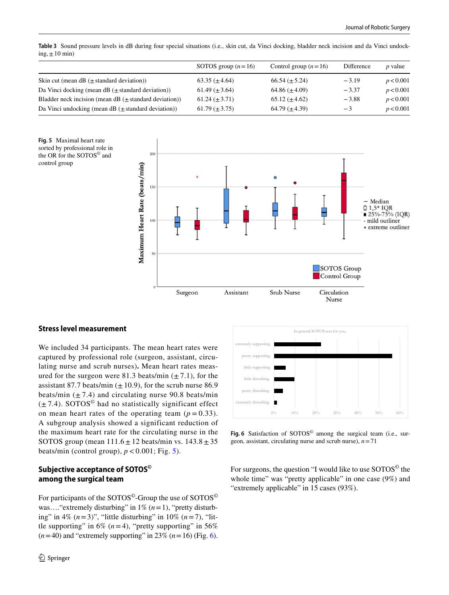<span id="page-5-0"></span>**Table 3** Sound pressure levels in dB during four special situations (i.e., skin cut, da Vinci docking, bladder neck incision and da Vinci undock $ing, ±10$  min)

|                                                               | SOTOS group $(n=16)$ | Control group $(n=16)$ | Difference | <i>p</i> value |
|---------------------------------------------------------------|----------------------|------------------------|------------|----------------|
| Skin cut (mean dB $(\pm$ standard deviation))                 | $63.35 \ (\pm 4.64)$ | $66.54 \ (\pm 5.24)$   | $-3.19$    | p < 0.001      |
| Da Vinci docking (mean dB $(\pm$ standard deviation))         | $61.49 \ (\pm 3.64)$ | 64.86 $(\pm 4.09)$     | $-3.37$    | p < 0.001      |
| Bladder neck incision (mean $dB$ ( $\pm$ standard deviation)) | $61.24 \ (\pm 3.71)$ | $65.12 \ (\pm 4.62)$   | $-3.88$    | p < 0.001      |
| Da Vinci undocking (mean dB $(\pm$ standard deviation))       | $61.79 \ (\pm 3.75)$ | $64.79 \ (\pm 4.39)$   | $-3$       | p < 0.001      |

<span id="page-5-1"></span>**Fig. 5** Maximal heart rate sorted by professional role in the OR for the SOTOS© and control group



## **Stress level measurement**

We included 34 participants. The mean heart rates were captured by professional role (surgeon, assistant, circulating nurse and scrub nurses)**.** Mean heart rates measured for the surgeon were 81.3 beats/min  $(\pm 7.1)$ , for the assistant 87.7 beats/min  $(\pm 10.9)$ , for the scrub nurse 86.9 beats/min  $(\pm 7.4)$  and circulating nurse 90.8 beats/min  $(\pm 7.4)$ . SOTOS<sup>©</sup> had no statistically significant effect on mean heart rates of the operating team  $(p = 0.33)$ . A subgroup analysis showed a significant reduction of the maximum heart rate for the circulating nurse in the SOTOS group (mean  $111.6 \pm 12$  beats/min vs.  $143.8 \pm 35$ beats/min (control group),  $p < 0.001$ ; Fig. [5](#page-5-1)).

## **Subjective acceptance of SOTOS© among the surgical team**

For participants of the SOTOS<sup>©</sup>-Group the use of SOTOS<sup>©</sup> was.... "extremely disturbing" in 1% (*n* = 1), "pretty disturbing" in 4%  $(n=3)$ ", "little disturbing" in 10%  $(n=7)$ , "little supporting" in 6%  $(n=4)$ , "pretty supporting" in 56%  $(n=40)$  and "extremely supporting" in 23%  $(n=16)$  (Fig. [6](#page-5-2)).



<span id="page-5-2"></span>Fig. 6 Satisfaction of SOTOS<sup>®</sup> among the surgical team (i.e., surgeon, assistant, circulating nurse and scrub nurse), *n*=71

For surgeons, the question "I would like to use SOTOS<sup>©</sup> the whole time" was "pretty applicable" in one case (9%) and "extremely applicable" in 15 cases (93%).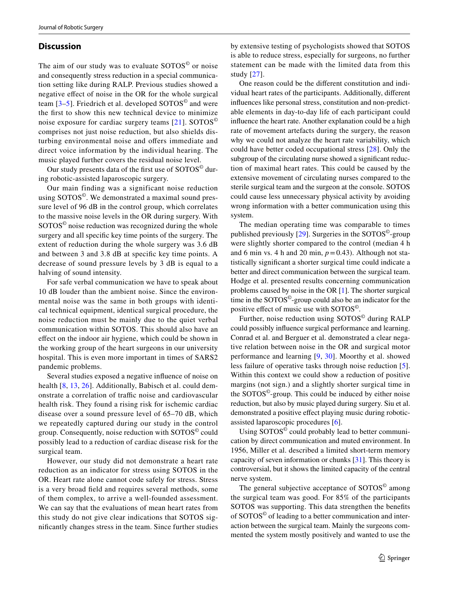#### **Discussion**

The aim of our study was to evaluate SOTOS<sup>©</sup> or noise and consequently stress reduction in a special communication setting like during RALP. Previous studies showed a negative efect of noise in the OR for the whole surgical team  $[3-5]$  $[3-5]$ . Friedrich et al. developed SOTOS<sup>©</sup> and were the frst to show this new technical device to minimize noise exposure for cardiac surgery teams [\[21\]](#page-8-9). SOTOS© comprises not just noise reduction, but also shields disturbing environmental noise and offers immediate and direct voice information by the individual hearing. The music played further covers the residual noise level.

Our study presents data of the first use of  $SOTOS<sup>°</sup>$  during robotic-assisted laparoscopic surgery.

Our main finding was a significant noise reduction using SOTOS©. We demonstrated a maximal sound pressure level of 96 dB in the control group, which correlates to the massive noise levels in the OR during surgery. With SOTOS© noise reduction was recognized during the whole surgery and all specifc key time points of the surgery. The extent of reduction during the whole surgery was 3.6 dB and between 3 and 3.8 dB at specifc key time points. A decrease of sound pressure levels by 3 dB is equal to a halving of sound intensity.

For safe verbal communication we have to speak about 10 dB louder than the ambient noise. Since the environmental noise was the same in both groups with identical technical equipment, identical surgical procedure, the noise reduction must be mainly due to the quiet verbal communication within SOTOS. This should also have an efect on the indoor air hygiene, which could be shown in the working group of the heart surgeons in our university hospital. This is even more important in times of SARS2 pandemic problems.

Several studies exposed a negative infuence of noise on health [[8,](#page-7-8) [13](#page-8-1), [26\]](#page-8-14). Additionally, Babisch et al. could demonstrate a correlation of traffic noise and cardiovascular health risk. They found a rising risk for ischemic cardiac disease over a sound pressure level of 65–70 dB, which we repeatedly captured during our study in the control group. Consequently, noise reduction with SOTOS© could possibly lead to a reduction of cardiac disease risk for the surgical team.

However, our study did not demonstrate a heart rate reduction as an indicator for stress using SOTOS in the OR. Heart rate alone cannot code safely for stress. Stress is a very broad feld and requires several methods, some of them complex, to arrive a well-founded assessment. We can say that the evaluations of mean heart rates from this study do not give clear indications that SOTOS signifcantly changes stress in the team. Since further studies

by extensive testing of psychologists showed that SOTOS is able to reduce stress, especially for surgeons, no further statement can be made with the limited data from this study [[27](#page-8-15)].

One reason could be the diferent constitution and individual heart rates of the participants. Additionally, diferent infuences like personal stress, constitution and non-predictable elements in day-to-day life of each participant could infuence the heart rate. Another explanation could be a high rate of movement artefacts during the surgery, the reason why we could not analyze the heart rate variability, which could have better coded occupational stress [[28](#page-8-16)]. Only the subgroup of the circulating nurse showed a significant reduction of maximal heart rates. This could be caused by the extensive movement of circulating nurses compared to the sterile surgical team and the surgeon at the console. SOTOS could cause less unnecessary physical activity by avoiding wrong information with a better communication using this system.

The median operating time was comparable to times published previously [[29](#page-8-17)]. Surgeries in the SOTOS©-group were slightly shorter compared to the control (median 4 h and 6 min vs. 4 h and 20 min,  $p=0.43$ ). Although not statistically signifcant a shorter surgical time could indicate a better and direct communication between the surgical team. Hodge et al. presented results concerning communication problems caused by noise in the OR [[1\]](#page-7-0). The shorter surgical time in the SOTOS©-group could also be an indicator for the positive efect of music use with SOTOS©.

Further, noise reduction using SOTOS© during RALP could possibly infuence surgical performance and learning. Conrad et al. and Berguer et al. demonstrated a clear negative relation between noise in the OR and surgical motor performance and learning [[9](#page-7-9), [30](#page-8-18)]. Moorthy et al. showed less failure of operative tasks through noise reduction [\[5](#page-7-4)]. Within this context we could show a reduction of positive margins (not sign.) and a slightly shorter surgical time in the SOTOS©-group. This could be induced by either noise reduction, but also by music played during surgery. Siu et al. demonstrated a positive effect playing music during roboticassisted laparoscopic procedures [[6\]](#page-7-5).

Using SOTOS© could probably lead to better communication by direct communication and muted environment. In 1956, Miller et al. described a limited short-term memory capacity of seven information or chunks [\[31](#page-8-19)]. This theory is controversial, but it shows the limited capacity of the central nerve system.

The general subjective acceptance of SOTOS<sup>©</sup> among the surgical team was good. For 85% of the participants SOTOS was supporting. This data strengthen the benefts of SOTOS© of leading to a better communication and interaction between the surgical team. Mainly the surgeons commented the system mostly positively and wanted to use the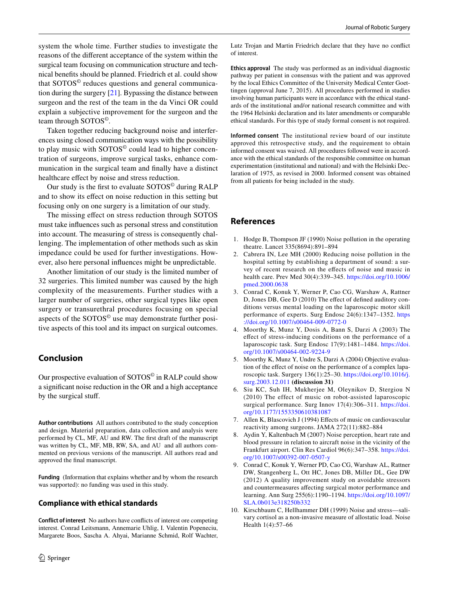system the whole time. Further studies to investigate the reasons of the diferent acceptance of the system within the surgical team focusing on communication structure and technical benefts should be planned. Friedrich et al. could show that SOTOS© reduces questions and general communication during the surgery [\[21](#page-8-9)]. Bypassing the distance between surgeon and the rest of the team in the da Vinci OR could explain a subjective improvement for the surgeon and the team through SOTOS©.

Taken together reducing background noise and interferences using closed communication ways with the possibility to play music with SOTOS© could lead to higher concentration of surgeons, improve surgical tasks, enhance communication in the surgical team and fnally have a distinct healthcare efect by noise and stress reduction.

Our study is the first to evaluate SOTOS<sup>©</sup> during RALP and to show its efect on noise reduction in this setting but focusing only on one surgery is a limitation of our study.

The missing efect on stress reduction through SOTOS must take infuences such as personal stress and constitution into account. The measuring of stress is consequently challenging. The implementation of other methods such as skin impedance could be used for further investigations. However, also here personal infuences might be unpredictable.

Another limitation of our study is the limited number of 32 surgeries. This limited number was caused by the high complexity of the measurements. Further studies with a larger number of surgeries, other surgical types like open surgery or transurethral procedures focusing on special aspects of the SOTOS© use may demonstrate further positive aspects of this tool and its impact on surgical outcomes.

# **Conclusion**

Our prospective evaluation of SOTOS© in RALP could show a signifcant noise reduction in the OR and a high acceptance by the surgical stuf.

**Author contributions** All authors contributed to the study conception and design. Material preparation, data collection and analysis were performed by CL, MF, AU and RW. The frst draft of the manuscript was written by CL, MF, MB, RW, SA, and AU and all authors commented on previous versions of the manuscript. All authors read and approved the fnal manuscript.

**Funding** (Information that explains whether and by whom the research was supported): no funding was used in this study.

# **Compliance with ethical standards**

**Conflict of interest** No authors have conficts of interest ore competing interest. Conrad Leitsmann, Annemarie Uhlig, I. Valentin Popeneciu, Margarete Boos, Sascha A. Ahyai, Marianne Schmid, Rolf Wachter, **Ethics approval** The study was performed as an individual diagnostic pathway per patient in consensus with the patient and was approved by the local Ethics Committee of the University Medical Center Goettingen (approval June 7, 2015). All procedures performed in studies involving human participants were in accordance with the ethical standards of the institutional and/or national research committee and with the 1964 Helsinki declaration and its later amendments or comparable ethical standards. For this type of study formal consent is not required.

**Informed consent** The institutional review board of our institute approved this retrospective study, and the requirement to obtain informed consent was waived. All procedures followed were in accordance with the ethical standards of the responsible committee on human experimentation (institutional and national) and with the Helsinki Declaration of 1975, as revised in 2000. Informed consent was obtained from all patients for being included in the study.

# **References**

of interest.

- <span id="page-7-0"></span>1. Hodge B, Thompson JF (1990) Noise pollution in the operating theatre. Lancet 335(8694):891–894
- <span id="page-7-1"></span>2. Cabrera IN, Lee MH (2000) Reducing noise pollution in the hospital setting by establishing a department of sound: a survey of recent research on the efects of noise and music in health care. Prev Med 30(4):339–345. [https://doi.org/10.1006/](https://doi.org/10.1006/pmed.2000.0638) [pmed.2000.0638](https://doi.org/10.1006/pmed.2000.0638)
- <span id="page-7-2"></span>3. Conrad C, Konuk Y, Werner P, Cao CG, Warshaw A, Rattner D, Jones DB, Gee D (2010) The efect of defned auditory conditions versus mental loading on the laparoscopic motor skill performance of experts. Surg Endosc 24(6):1347–1352. [https](https://doi.org/10.1007/s00464-009-0772-0) [://doi.org/10.1007/s00464-009-0772-0](https://doi.org/10.1007/s00464-009-0772-0)
- <span id="page-7-3"></span>4. Moorthy K, Munz Y, Dosis A, Bann S, Darzi A (2003) The efect of stress-inducing conditions on the performance of a laparoscopic task. Surg Endosc 17(9):1481–1484. [https://doi.](https://doi.org/10.1007/s00464-002-9224-9) [org/10.1007/s00464-002-9224-9](https://doi.org/10.1007/s00464-002-9224-9)
- <span id="page-7-4"></span>5. Moorthy K, Munz Y, Undre S, Darzi A (2004) Objective evaluation of the efect of noise on the performance of a complex laparoscopic task. Surgery 136(1):25–30. [https://doi.org/10.1016/j.](https://doi.org/10.1016/j.surg.2003.12.011) [surg.2003.12.011](https://doi.org/10.1016/j.surg.2003.12.011) **(discussion 31)**
- <span id="page-7-5"></span>6. Siu KC, Suh IH, Mukherjee M, Oleynikov D, Stergiou N (2010) The effect of music on robot-assisted laparoscopic surgical performance. Surg Innov 17(4):306-311. [https://doi.](https://doi.org/10.1177/1553350610381087) [org/10.1177/1553350610381087](https://doi.org/10.1177/1553350610381087)
- <span id="page-7-6"></span>7. Allen K, Blascovich J (1994) Efects of music on cardiovascular reactivity among surgeons. JAMA 272(11):882–884
- <span id="page-7-8"></span>8. Aydin Y, Kaltenbach M (2007) Noise perception, heart rate and blood pressure in relation to aircraft noise in the vicinity of the Frankfurt airport. Clin Res Cardiol 96(6):347–358. [https://doi.](https://doi.org/10.1007/s00392-007-0507-y) [org/10.1007/s00392-007-0507-y](https://doi.org/10.1007/s00392-007-0507-y)
- <span id="page-7-9"></span>9. Conrad C, Konuk Y, Werner PD, Cao CG, Warshaw AL, Rattner DW, Stangenberg L, Ott HC, Jones DB, Miller DL, Gee DW (2012) A quality improvement study on avoidable stressors and countermeasures afecting surgical motor performance and learning. Ann Surg 255(6):1190–1194. [https://doi.org/10.1097/](https://doi.org/10.1097/SLA.0b013e318250b332) [SLA.0b013e318250b332](https://doi.org/10.1097/SLA.0b013e318250b332)
- <span id="page-7-7"></span>10. Kirschbaum C, Hellhammer DH (1999) Noise and stress—salivary cortisol as a non-invasive measure of allostatic load. Noise Health 1(4):57–66